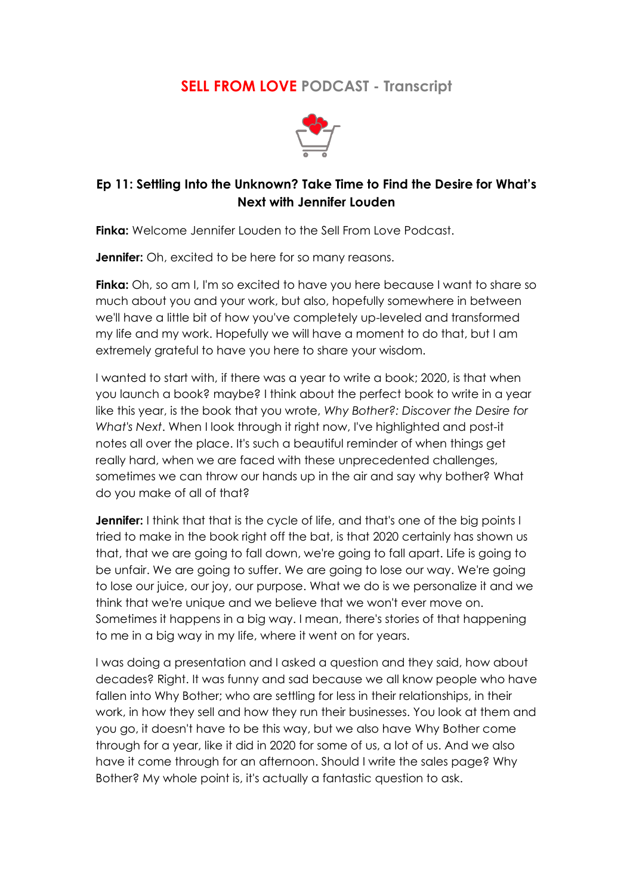## **SELL FROM LOVE PODCAST - Transcript**



## **Ep 11: Settling Into the Unknown? Take Time to Find the Desire for What's Next with Jennifer Louden**

**Finka:** Welcome Jennifer Louden to the Sell From Love Podcast.

**Jennifer:** Oh, excited to be here for so many reasons.

**Finka:** Oh, so am I, I'm so excited to have you here because I want to share so much about you and your work, but also, hopefully somewhere in between we'll have a little bit of how you've completely up-leveled and transformed my life and my work. Hopefully we will have a moment to do that, but I am extremely grateful to have you here to share your wisdom.

I wanted to start with, if there was a year to write a book; 2020, is that when you launch a book? maybe? I think about the perfect book to write in a year like this year, is the book that you wrote, *Why Bother?: Discover the Desire for What's Next*. When I look through it right now, I've highlighted and post-it notes all over the place. It's such a beautiful reminder of when things get really hard, when we are faced with these unprecedented challenges, sometimes we can throw our hands up in the air and say why bother? What do you make of all of that?

**Jennifer:** I think that that is the cycle of life, and that's one of the big points I tried to make in the book right off the bat, is that 2020 certainly has shown us that, that we are going to fall down, we're going to fall apart. Life is going to be unfair. We are going to suffer. We are going to lose our way. We're going to lose our juice, our joy, our purpose. What we do is we personalize it and we think that we're unique and we believe that we won't ever move on. Sometimes it happens in a big way. I mean, there's stories of that happening to me in a big way in my life, where it went on for years.

I was doing a presentation and I asked a question and they said, how about decades? Right. It was funny and sad because we all know people who have fallen into Why Bother; who are settling for less in their relationships, in their work, in how they sell and how they run their businesses. You look at them and you go, it doesn't have to be this way, but we also have Why Bother come through for a year, like it did in 2020 for some of us, a lot of us. And we also have it come through for an afternoon. Should I write the sales page? Why Bother? My whole point is, it's actually a fantastic question to ask.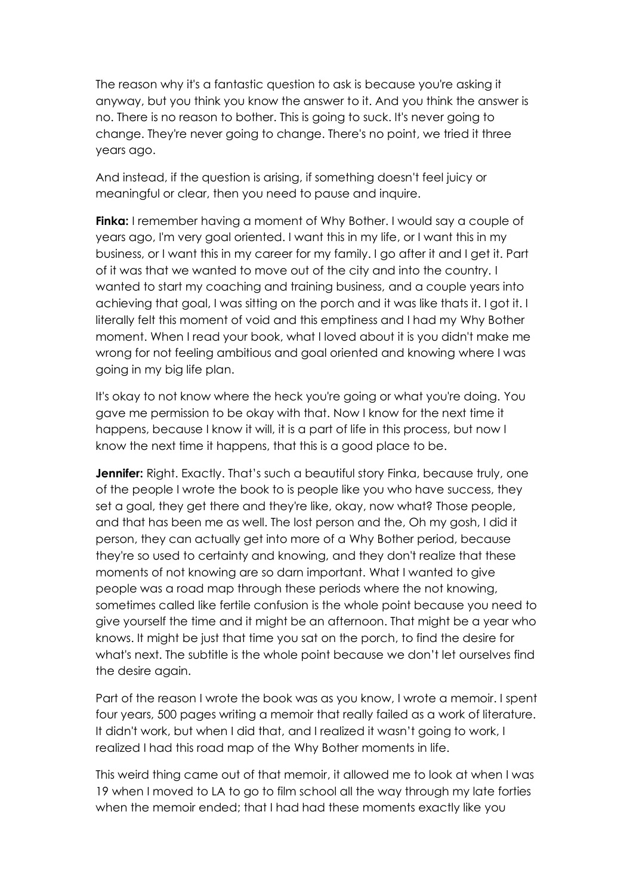The reason why it's a fantastic question to ask is because you're asking it anyway, but you think you know the answer to it. And you think the answer is no. There is no reason to bother. This is going to suck. It's never going to change. They're never going to change. There's no point, we tried it three years ago.

And instead, if the question is arising, if something doesn't feel juicy or meaningful or clear, then you need to pause and inquire.

**Finka:** I remember having a moment of Why Bother. I would say a couple of years ago, I'm very goal oriented. I want this in my life, or I want this in my business, or I want this in my career for my family. I go after it and I get it. Part of it was that we wanted to move out of the city and into the country. I wanted to start my coaching and training business, and a couple years into achieving that goal, I was sitting on the porch and it was like thats it. I got it. I literally felt this moment of void and this emptiness and I had my Why Bother moment. When I read your book, what I loved about it is you didn't make me wrong for not feeling ambitious and goal oriented and knowing where I was going in my big life plan.

It's okay to not know where the heck you're going or what you're doing. You gave me permission to be okay with that. Now I know for the next time it happens, because I know it will, it is a part of life in this process, but now I know the next time it happens, that this is a good place to be.

**Jennifer:** Right. Exactly. That's such a beautiful story Finka, because truly, one of the people I wrote the book to is people like you who have success, they set a goal, they get there and they're like, okay, now what? Those people, and that has been me as well. The lost person and the, Oh my gosh, I did it person, they can actually get into more of a Why Bother period, because they're so used to certainty and knowing, and they don't realize that these moments of not knowing are so darn important. What I wanted to give people was a road map through these periods where the not knowing, sometimes called like fertile confusion is the whole point because you need to give yourself the time and it might be an afternoon. That might be a year who knows. It might be just that time you sat on the porch, to find the desire for what's next. The subtitle is the whole point because we don't let ourselves find the desire again.

Part of the reason I wrote the book was as you know, I wrote a memoir. I spent four years, 500 pages writing a memoir that really failed as a work of literature. It didn't work, but when I did that, and I realized it wasn't going to work, I realized I had this road map of the Why Bother moments in life.

This weird thing came out of that memoir, it allowed me to look at when I was 19 when I moved to LA to go to film school all the way through my late forties when the memoir ended; that I had had these moments exactly like you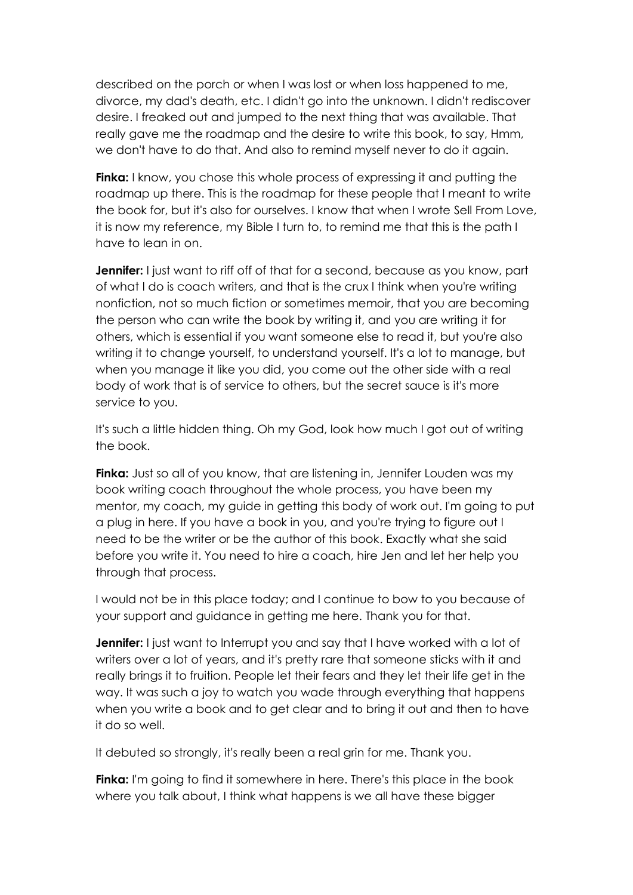described on the porch or when I was lost or when loss happened to me, divorce, my dad's death, etc. I didn't go into the unknown. I didn't rediscover desire. I freaked out and jumped to the next thing that was available. That really gave me the roadmap and the desire to write this book, to say, Hmm, we don't have to do that. And also to remind myself never to do it again.

**Finka:** I know, you chose this whole process of expressing it and putting the roadmap up there. This is the roadmap for these people that I meant to write the book for, but it's also for ourselves. I know that when I wrote Sell From Love, it is now my reference, my Bible I turn to, to remind me that this is the path I have to lean in on.

**Jennifer:** I just want to riff off of that for a second, because as you know, part of what I do is coach writers, and that is the crux I think when you're writing nonfiction, not so much fiction or sometimes memoir, that you are becoming the person who can write the book by writing it, and you are writing it for others, which is essential if you want someone else to read it, but you're also writing it to change yourself, to understand yourself. It's a lot to manage, but when you manage it like you did, you come out the other side with a real body of work that is of service to others, but the secret sauce is it's more service to you.

It's such a little hidden thing. Oh my God, look how much I got out of writing the book.

**Finka:** Just so all of you know, that are listening in, Jennifer Louden was my book writing coach throughout the whole process, you have been my mentor, my coach, my guide in getting this body of work out. I'm going to put a plug in here. If you have a book in you, and you're trying to figure out I need to be the writer or be the author of this book. Exactly what she said before you write it. You need to hire a coach, hire Jen and let her help you through that process.

I would not be in this place today; and I continue to bow to you because of your support and guidance in getting me here. Thank you for that.

**Jennifer:** I just want to Interrupt you and say that I have worked with a lot of writers over a lot of years, and it's pretty rare that someone sticks with it and really brings it to fruition. People let their fears and they let their life get in the way. It was such a joy to watch you wade through everything that happens when you write a book and to get clear and to bring it out and then to have it do so well.

It debuted so strongly, it's really been a real grin for me. Thank you.

**Finka:** I'm going to find it somewhere in here. There's this place in the book where you talk about, I think what happens is we all have these bigger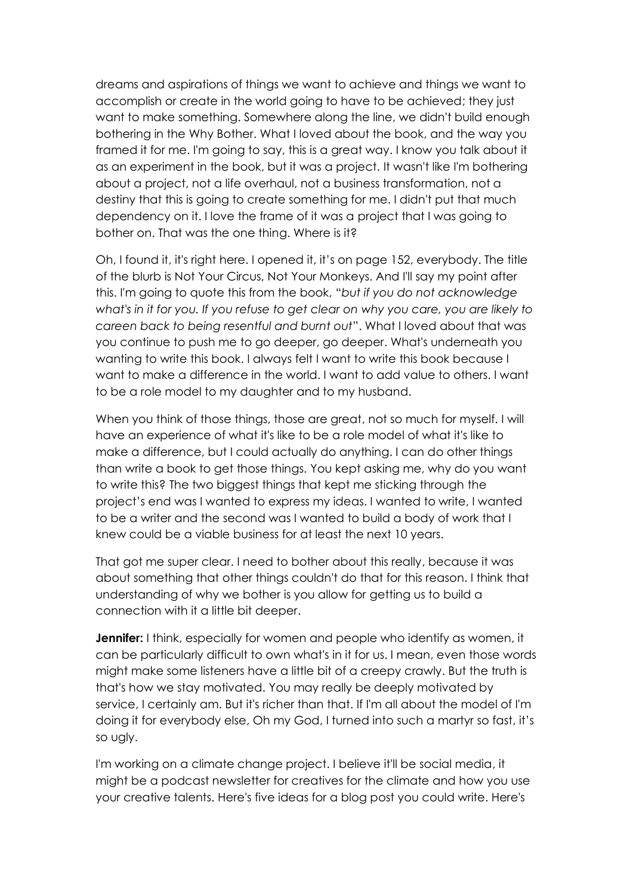dreams and aspirations of things we want to achieve and things we want to accomplish or create in the world going to have to be achieved; they just want to make something. Somewhere along the line, we didn't build enough bothering in the Why Bother. What I loved about the book, and the way you framed it for me. I'm going to say, this is a great way. I know you talk about it as an experiment in the book, but it was a project. It wasn't like I'm bothering about a project, not a life overhaul, not a business transformation, not a destiny that this is going to create something for me. I didn't put that much dependency on it. I love the frame of it was a project that I was going to bother on. That was the one thing. Where is it?

Oh, I found it, it's right here. I opened it, it's on page 152, everybody. The title of the blurb is Not Your Circus, Not Your Monkeys. And I'll say my point after this. I'm going to quote this from the book, "*but if you do not acknowledge what's in it for you. If you refuse to get clear on why you care, you are likely to careen back to being resentful and burnt out*". What I loved about that was you continue to push me to go deeper, go deeper. What's underneath you wanting to write this book. I always felt I want to write this book because I want to make a difference in the world. I want to add value to others. I want to be a role model to my daughter and to my husband.

When you think of those things, those are great, not so much for myself. I will have an experience of what it's like to be a role model of what it's like to make a difference, but I could actually do anything. I can do other things than write a book to get those things. You kept asking me, why do you want to write this? The two biggest things that kept me sticking through the project's end was I wanted to express my ideas. I wanted to write, I wanted to be a writer and the second was I wanted to build a body of work that I knew could be a viable business for at least the next 10 years.

That got me super clear. I need to bother about this really, because it was about something that other things couldn't do that for this reason. I think that understanding of why we bother is you allow for getting us to build a connection with it a little bit deeper.

**Jennifer:** I think, especially for women and people who identify as women, it can be particularly difficult to own what's in it for us. I mean, even those words might make some listeners have a little bit of a creepy crawly. But the truth is that's how we stay motivated. You may really be deeply motivated by service, I certainly am. But it's richer than that. If I'm all about the model of I'm doing it for everybody else, Oh my God, I turned into such a martyr so fast, it's so ugly.

I'm working on a climate change project. I believe it'll be social media, it might be a podcast newsletter for creatives for the climate and how you use your creative talents. Here's five ideas for a blog post you could write. Here's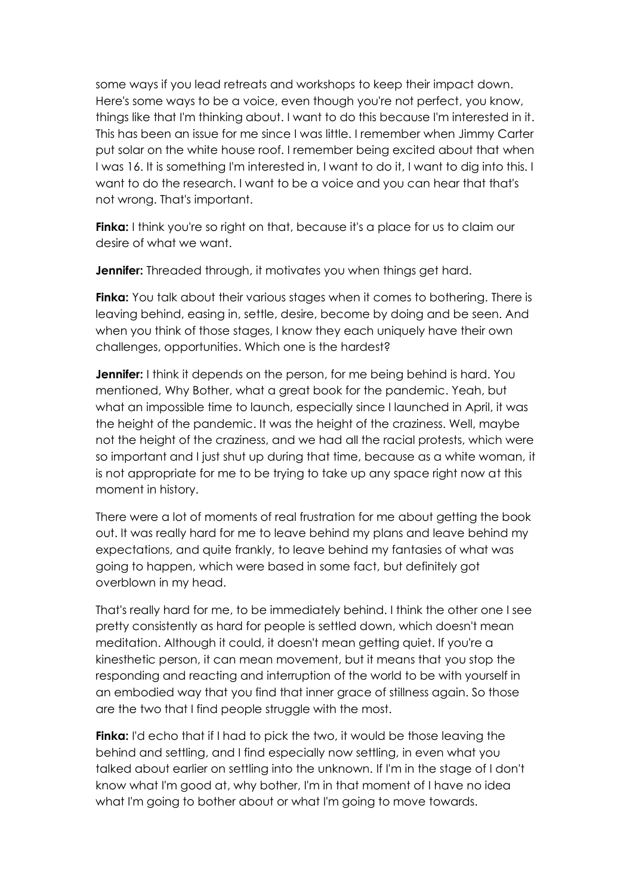some ways if you lead retreats and workshops to keep their impact down. Here's some ways to be a voice, even though you're not perfect, you know, things like that I'm thinking about. I want to do this because I'm interested in it. This has been an issue for me since I was little. I remember when Jimmy Carter put solar on the white house roof. I remember being excited about that when I was 16. It is something I'm interested in, I want to do it, I want to dig into this. I want to do the research. I want to be a voice and you can hear that that's not wrong. That's important.

**Finka:** I think you're so right on that, because it's a place for us to claim our desire of what we want.

**Jennifer:** Threaded through, it motivates you when things get hard.

**Finka:** You talk about their various stages when it comes to bothering. There is leaving behind, easing in, settle, desire, become by doing and be seen. And when you think of those stages, I know they each uniquely have their own challenges, opportunities. Which one is the hardest?

**Jennifer:** I think it depends on the person, for me being behind is hard. You mentioned, Why Bother, what a great book for the pandemic. Yeah, but what an impossible time to launch, especially since I launched in April, it was the height of the pandemic. It was the height of the craziness. Well, maybe not the height of the craziness, and we had all the racial protests, which were so important and I just shut up during that time, because as a white woman, it is not appropriate for me to be trying to take up any space right now at this moment in history.

There were a lot of moments of real frustration for me about getting the book out. It was really hard for me to leave behind my plans and leave behind my expectations, and quite frankly, to leave behind my fantasies of what was going to happen, which were based in some fact, but definitely got overblown in my head.

That's really hard for me, to be immediately behind. I think the other one I see pretty consistently as hard for people is settled down, which doesn't mean meditation. Although it could, it doesn't mean getting quiet. If you're a kinesthetic person, it can mean movement, but it means that you stop the responding and reacting and interruption of the world to be with yourself in an embodied way that you find that inner grace of stillness again. So those are the two that I find people struggle with the most.

**Finka:** I'd echo that if I had to pick the two, it would be those leaving the behind and settling, and I find especially now settling, in even what you talked about earlier on settling into the unknown. If I'm in the stage of I don't know what I'm good at, why bother, I'm in that moment of I have no idea what I'm going to bother about or what I'm going to move towards.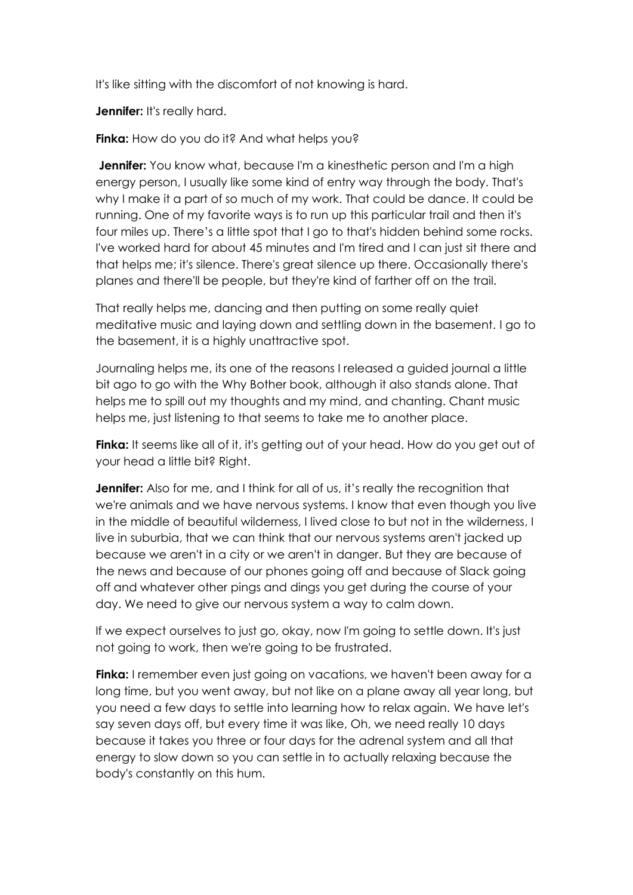It's like sitting with the discomfort of not knowing is hard.

**Jennifer:** It's really hard.

**Finka:** How do you do it? And what helps you?

**Jennifer:** You know what, because I'm a kinesthetic person and I'm a high energy person, I usually like some kind of entry way through the body. That's why I make it a part of so much of my work. That could be dance. It could be running. One of my favorite ways is to run up this particular trail and then it's four miles up. There's a little spot that I go to that's hidden behind some rocks. I've worked hard for about 45 minutes and I'm tired and I can just sit there and that helps me; it's silence. There's great silence up there. Occasionally there's planes and there'll be people, but they're kind of farther off on the trail.

That really helps me, dancing and then putting on some really quiet meditative music and laying down and settling down in the basement. I go to the basement, it is a highly unattractive spot.

Journaling helps me, its one of the reasons I released a guided journal a little bit ago to go with the Why Bother book, although it also stands alone. That helps me to spill out my thoughts and my mind, and chanting. Chant music helps me, just listening to that seems to take me to another place.

**Finka:** It seems like all of it, it's getting out of your head. How do you get out of your head a little bit? Right.

**Jennifer:** Also for me, and I think for all of us, it's really the recognition that we're animals and we have nervous systems. I know that even though you live in the middle of beautiful wilderness, I lived close to but not in the wilderness, I live in suburbia, that we can think that our nervous systems aren't jacked up because we aren't in a city or we aren't in danger. But they are because of the news and because of our phones going off and because of Slack going off and whatever other pings and dings you get during the course of your day. We need to give our nervous system a way to calm down.

If we expect ourselves to just go, okay, now I'm going to settle down. It's just not going to work, then we're going to be frustrated.

**Finka:** I remember even just going on vacations, we haven't been away for a long time, but you went away, but not like on a plane away all year long, but you need a few days to settle into learning how to relax again. We have let's say seven days off, but every time it was like, Oh, we need really 10 days because it takes you three or four days for the adrenal system and all that energy to slow down so you can settle in to actually relaxing because the body's constantly on this hum.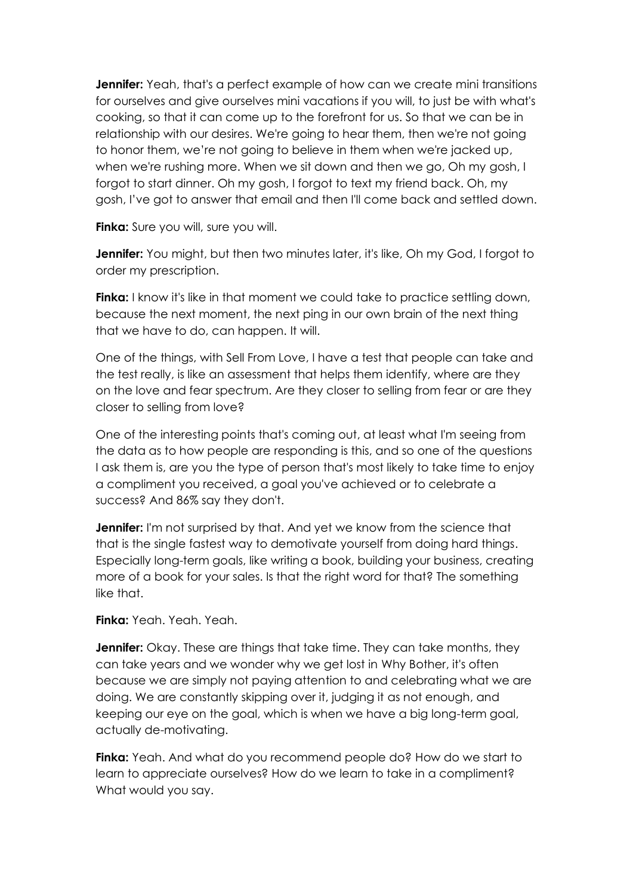**Jennifer:** Yeah, that's a perfect example of how can we create mini transitions for ourselves and give ourselves mini vacations if you will, to just be with what's cooking, so that it can come up to the forefront for us. So that we can be in relationship with our desires. We're going to hear them, then we're not going to honor them, we're not going to believe in them when we're jacked up, when we're rushing more. When we sit down and then we go, Oh my gosh, I forgot to start dinner. Oh my gosh, I forgot to text my friend back. Oh, my gosh, I've got to answer that email and then I'll come back and settled down.

**Finka:** Sure you will, sure you will.

**Jennifer:** You might, but then two minutes later, it's like, Oh my God, I forgot to order my prescription.

**Finka:** I know it's like in that moment we could take to practice settling down, because the next moment, the next ping in our own brain of the next thing that we have to do, can happen. It will.

One of the things, with Sell From Love, I have a test that people can take and the test really, is like an assessment that helps them identify, where are they on the love and fear spectrum. Are they closer to selling from fear or are they closer to selling from love?

One of the interesting points that's coming out, at least what I'm seeing from the data as to how people are responding is this, and so one of the questions I ask them is, are you the type of person that's most likely to take time to enjoy a compliment you received, a goal you've achieved or to celebrate a success? And 86% say they don't.

**Jennifer:** I'm not surprised by that. And yet we know from the science that that is the single fastest way to demotivate yourself from doing hard things. Especially long-term goals, like writing a book, building your business, creating more of a book for your sales. Is that the right word for that? The something like that.

**Finka:** Yeah. Yeah. Yeah.

**Jennifer:** Okay. These are things that take time. They can take months, they can take years and we wonder why we get lost in Why Bother, it's often because we are simply not paying attention to and celebrating what we are doing. We are constantly skipping over it, judging it as not enough, and keeping our eye on the goal, which is when we have a big long-term goal, actually de-motivating.

**Finka:** Yeah. And what do you recommend people do? How do we start to learn to appreciate ourselves? How do we learn to take in a compliment? What would you say.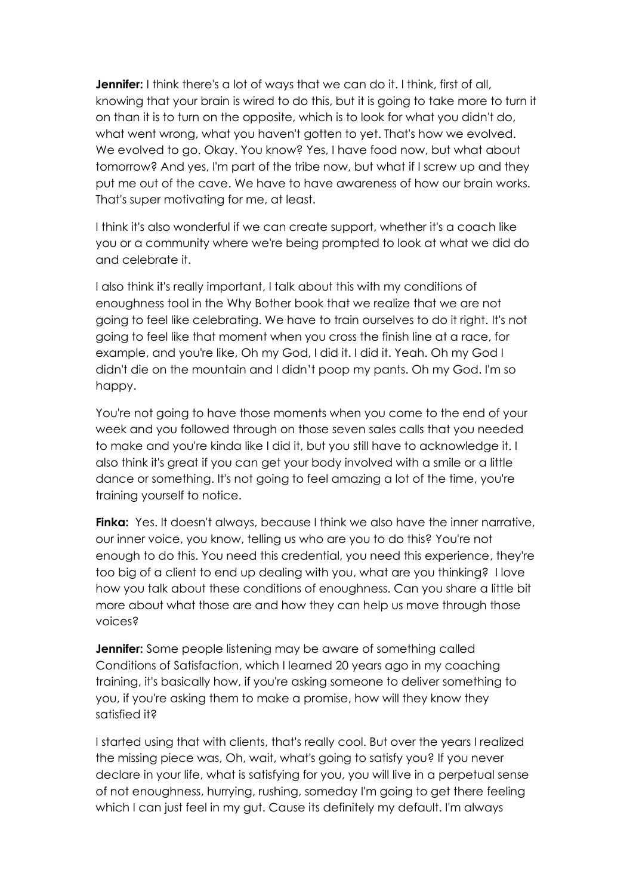**Jennifer:** I think there's a lot of ways that we can do it. I think, first of all, knowing that your brain is wired to do this, but it is going to take more to turn it on than it is to turn on the opposite, which is to look for what you didn't do, what went wrong, what you haven't gotten to yet. That's how we evolved. We evolved to go. Okay. You know? Yes, I have food now, but what about tomorrow? And yes, I'm part of the tribe now, but what if I screw up and they put me out of the cave. We have to have awareness of how our brain works. That's super motivating for me, at least.

I think it's also wonderful if we can create support, whether it's a coach like you or a community where we're being prompted to look at what we did do and celebrate it.

I also think it's really important, I talk about this with my conditions of enoughness tool in the Why Bother book that we realize that we are not going to feel like celebrating. We have to train ourselves to do it right. It's not going to feel like that moment when you cross the finish line at a race, for example, and you're like, Oh my God, I did it. I did it. Yeah. Oh my God I didn't die on the mountain and I didn't poop my pants. Oh my God. I'm so happy.

You're not going to have those moments when you come to the end of your week and you followed through on those seven sales calls that you needed to make and you're kinda like I did it, but you still have to acknowledge it. I also think it's great if you can get your body involved with a smile or a little dance or something. It's not going to feel amazing a lot of the time, you're training yourself to notice.

**Finka:** Yes. It doesn't always, because I think we also have the inner narrative, our inner voice, you know, telling us who are you to do this? You're not enough to do this. You need this credential, you need this experience, they're too big of a client to end up dealing with you, what are you thinking? I love how you talk about these conditions of enoughness. Can you share a little bit more about what those are and how they can help us move through those voices?

**Jennifer:** Some people listening may be aware of something called Conditions of Satisfaction, which I learned 20 years ago in my coaching training, it's basically how, if you're asking someone to deliver something to you, if you're asking them to make a promise, how will they know they satisfied it?

I started using that with clients, that's really cool. But over the years I realized the missing piece was, Oh, wait, what's going to satisfy you? If you never declare in your life, what is satisfying for you, you will live in a perpetual sense of not enoughness, hurrying, rushing, someday I'm going to get there feeling which I can just feel in my gut. Cause its definitely my default. I'm always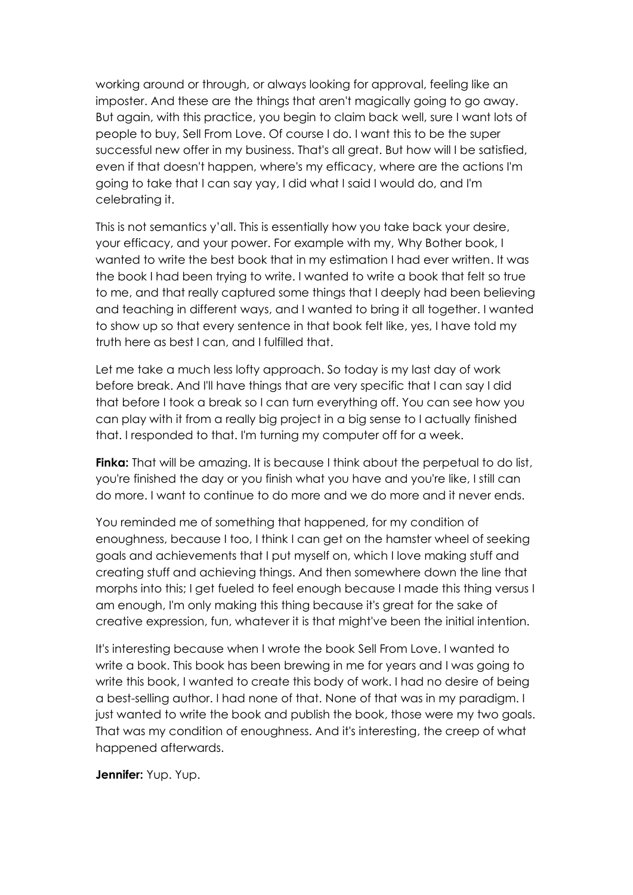working around or through, or always looking for approval, feeling like an imposter. And these are the things that aren't magically going to go away. But again, with this practice, you begin to claim back well, sure I want lots of people to buy, Sell From Love. Of course I do. I want this to be the super successful new offer in my business. That's all great. But how will I be satisfied, even if that doesn't happen, where's my efficacy, where are the actions I'm going to take that I can say yay, I did what I said I would do, and I'm celebrating it.

This is not semantics y'all. This is essentially how you take back your desire, your efficacy, and your power. For example with my, Why Bother book, I wanted to write the best book that in my estimation I had ever written. It was the book I had been trying to write. I wanted to write a book that felt so true to me, and that really captured some things that I deeply had been believing and teaching in different ways, and I wanted to bring it all together. I wanted to show up so that every sentence in that book felt like, yes, I have told my truth here as best I can, and I fulfilled that.

Let me take a much less lofty approach. So today is my last day of work before break. And I'll have things that are very specific that I can say I did that before I took a break so I can turn everything off. You can see how you can play with it from a really big project in a big sense to I actually finished that. I responded to that. I'm turning my computer off for a week.

**Finka:** That will be amazing. It is because I think about the perpetual to do list, you're finished the day or you finish what you have and you're like, I still can do more. I want to continue to do more and we do more and it never ends.

You reminded me of something that happened, for my condition of enoughness, because I too, I think I can get on the hamster wheel of seeking goals and achievements that I put myself on, which I love making stuff and creating stuff and achieving things. And then somewhere down the line that morphs into this; I get fueled to feel enough because I made this thing versus I am enough, I'm only making this thing because it's great for the sake of creative expression, fun, whatever it is that might've been the initial intention.

It's interesting because when I wrote the book Sell From Love. I wanted to write a book. This book has been brewing in me for years and I was going to write this book, I wanted to create this body of work. I had no desire of being a best-selling author. I had none of that. None of that was in my paradigm. I just wanted to write the book and publish the book, those were my two goals. That was my condition of enoughness. And it's interesting, the creep of what happened afterwards.

**Jennifer:** Yup. Yup.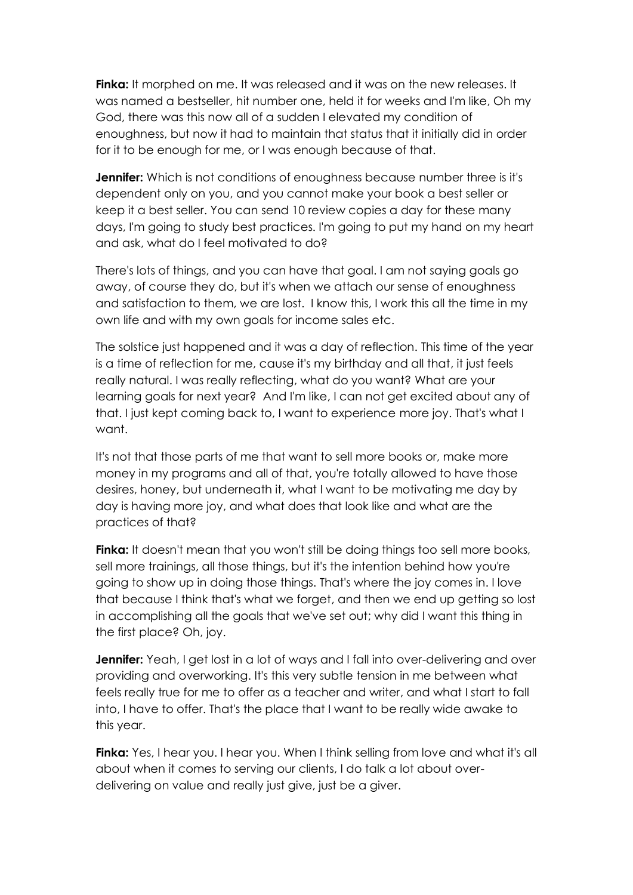**Finka:** It morphed on me. It was released and it was on the new releases. It was named a bestseller, hit number one, held it for weeks and I'm like, Oh my God, there was this now all of a sudden I elevated my condition of enoughness, but now it had to maintain that status that it initially did in order for it to be enough for me, or I was enough because of that.

**Jennifer:** Which is not conditions of enoughness because number three is it's dependent only on you, and you cannot make your book a best seller or keep it a best seller. You can send 10 review copies a day for these many days, I'm going to study best practices. I'm going to put my hand on my heart and ask, what do I feel motivated to do?

There's lots of things, and you can have that goal. I am not saying goals go away, of course they do, but it's when we attach our sense of enoughness and satisfaction to them, we are lost. I know this, I work this all the time in my own life and with my own goals for income sales etc.

The solstice just happened and it was a day of reflection. This time of the year is a time of reflection for me, cause it's my birthday and all that, it just feels really natural. I was really reflecting, what do you want? What are your learning goals for next year? And I'm like, I can not get excited about any of that. I just kept coming back to, I want to experience more joy. That's what I want.

It's not that those parts of me that want to sell more books or, make more money in my programs and all of that, you're totally allowed to have those desires, honey, but underneath it, what I want to be motivating me day by day is having more joy, and what does that look like and what are the practices of that?

**Finka:** It doesn't mean that you won't still be doing things too sell more books, sell more trainings, all those things, but it's the intention behind how you're going to show up in doing those things. That's where the joy comes in. I love that because I think that's what we forget, and then we end up getting so lost in accomplishing all the goals that we've set out; why did I want this thing in the first place? Oh, joy.

**Jennifer:** Yeah, I get lost in a lot of ways and I fall into over-delivering and over providing and overworking. It's this very subtle tension in me between what feels really true for me to offer as a teacher and writer, and what I start to fall into, I have to offer. That's the place that I want to be really wide awake to this year.

**Finka:** Yes, I hear you. I hear you. When I think selling from love and what it's all about when it comes to serving our clients, I do talk a lot about overdelivering on value and really just give, just be a giver.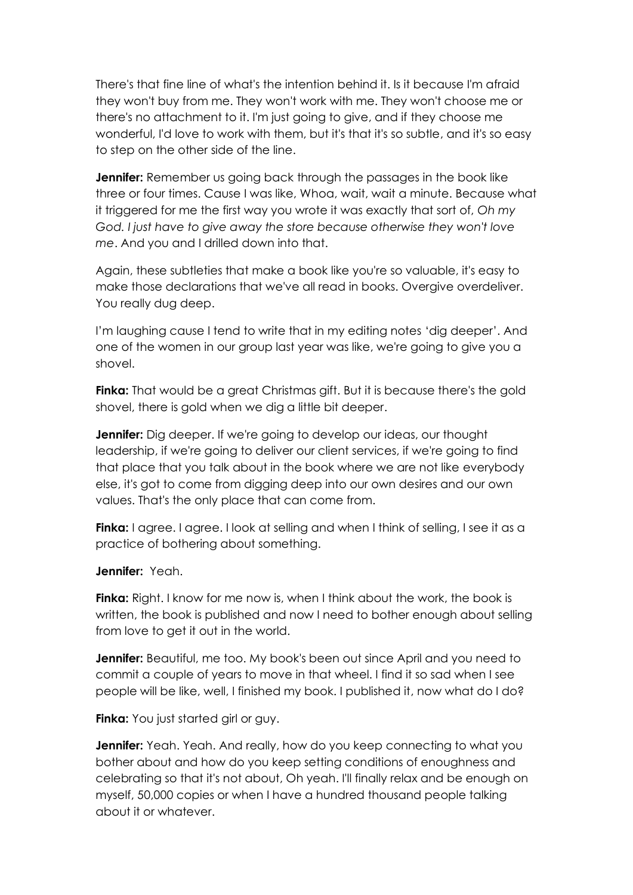There's that fine line of what's the intention behind it. Is it because I'm afraid they won't buy from me. They won't work with me. They won't choose me or there's no attachment to it. I'm just going to give, and if they choose me wonderful, I'd love to work with them, but it's that it's so subtle, and it's so easy to step on the other side of the line.

**Jennifer:** Remember us going back through the passages in the book like three or four times. Cause I was like, Whoa, wait, wait a minute. Because what it triggered for me the first way you wrote it was exactly that sort of, *Oh my God. I just have to give away the store because otherwise they won't love me*. And you and I drilled down into that.

Again, these subtleties that make a book like you're so valuable, it's easy to make those declarations that we've all read in books. Overgive overdeliver. You really dug deep.

I'm laughing cause I tend to write that in my editing notes 'dig deeper'. And one of the women in our group last year was like, we're going to give you a shovel.

**Finka:** That would be a great Christmas gift. But it is because there's the gold shovel, there is gold when we dig a little bit deeper.

**Jennifer:** Dig deeper. If we're going to develop our ideas, our thought leadership, if we're going to deliver our client services, if we're going to find that place that you talk about in the book where we are not like everybody else, it's got to come from digging deep into our own desires and our own values. That's the only place that can come from.

**Finka:** I agree. I agree. I look at selling and when I think of selling, I see it as a practice of bothering about something.

## **Jennifer:** Yeah.

**Finka:** Right. I know for me now is, when I think about the work, the book is written, the book is published and now I need to bother enough about selling from love to get it out in the world.

**Jennifer:** Beautiful, me too. My book's been out since April and you need to commit a couple of years to move in that wheel. I find it so sad when I see people will be like, well, I finished my book. I published it, now what do I do?

**Finka:** You just started girl or guy.

**Jennifer:** Yeah. Yeah. And really, how do you keep connecting to what you bother about and how do you keep setting conditions of enoughness and celebrating so that it's not about, Oh yeah. I'll finally relax and be enough on myself, 50,000 copies or when I have a hundred thousand people talking about it or whatever.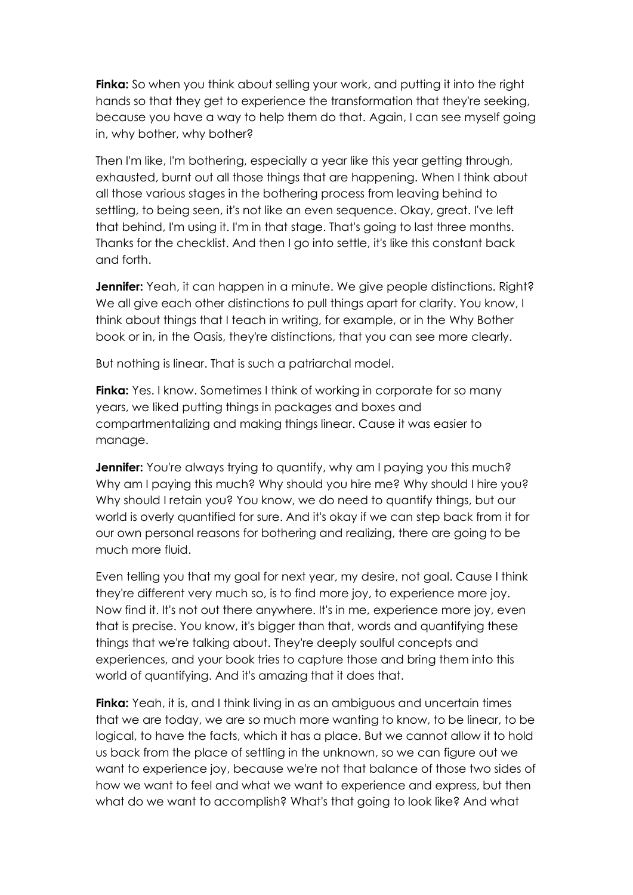**Finka:** So when you think about selling your work, and putting it into the right hands so that they get to experience the transformation that they're seeking, because you have a way to help them do that. Again, I can see myself going in, why bother, why bother?

Then I'm like, I'm bothering, especially a year like this year getting through, exhausted, burnt out all those things that are happening. When I think about all those various stages in the bothering process from leaving behind to settling, to being seen, it's not like an even sequence. Okay, great. I've left that behind, I'm using it. I'm in that stage. That's going to last three months. Thanks for the checklist. And then I go into settle, it's like this constant back and forth.

**Jennifer:** Yeah, it can happen in a minute. We give people distinctions. Right? We all give each other distinctions to pull things apart for clarity. You know, I think about things that I teach in writing, for example, or in the Why Bother book or in, in the Oasis, they're distinctions, that you can see more clearly.

But nothing is linear. That is such a patriarchal model.

**Finka:** Yes. I know. Sometimes I think of working in corporate for so many years, we liked putting things in packages and boxes and compartmentalizing and making things linear. Cause it was easier to manage.

**Jennifer:** You're always trying to quantify, why am I paying you this much? Why am I paying this much? Why should you hire me? Why should I hire you? Why should I retain you? You know, we do need to quantify things, but our world is overly quantified for sure. And it's okay if we can step back from it for our own personal reasons for bothering and realizing, there are going to be much more fluid.

Even telling you that my goal for next year, my desire, not goal. Cause I think they're different very much so, is to find more joy, to experience more joy. Now find it. It's not out there anywhere. It's in me, experience more joy, even that is precise. You know, it's bigger than that, words and quantifying these things that we're talking about. They're deeply soulful concepts and experiences, and your book tries to capture those and bring them into this world of quantifying. And it's amazing that it does that.

**Finka:** Yeah, it is, and I think living in as an ambiguous and uncertain times that we are today, we are so much more wanting to know, to be linear, to be logical, to have the facts, which it has a place. But we cannot allow it to hold us back from the place of settling in the unknown, so we can figure out we want to experience joy, because we're not that balance of those two sides of how we want to feel and what we want to experience and express, but then what do we want to accomplish? What's that going to look like? And what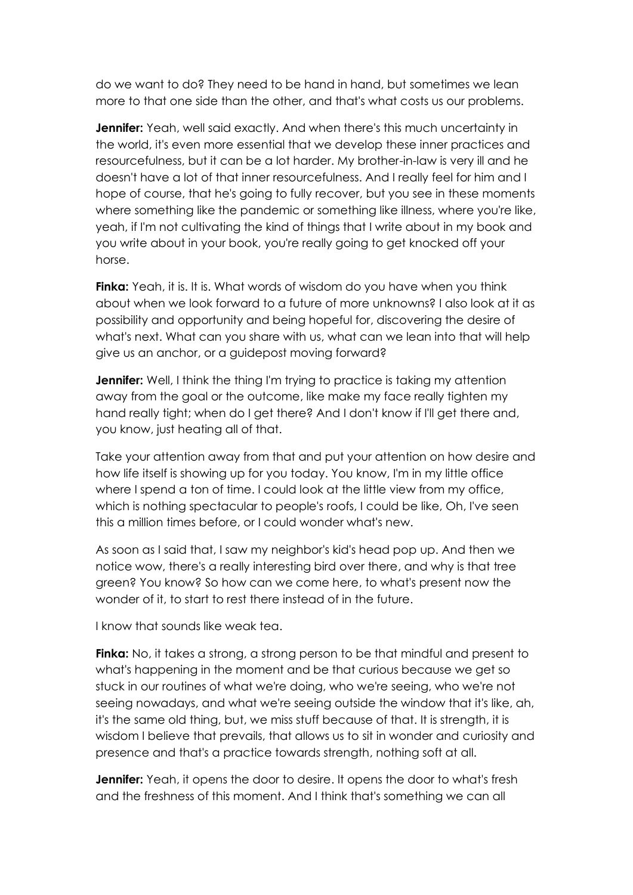do we want to do? They need to be hand in hand, but sometimes we lean more to that one side than the other, and that's what costs us our problems.

**Jennifer:** Yeah, well said exactly. And when there's this much uncertainty in the world, it's even more essential that we develop these inner practices and resourcefulness, but it can be a lot harder. My brother-in-law is very ill and he doesn't have a lot of that inner resourcefulness. And I really feel for him and I hope of course, that he's going to fully recover, but you see in these moments where something like the pandemic or something like illness, where you're like, yeah, if I'm not cultivating the kind of things that I write about in my book and you write about in your book, you're really going to get knocked off your horse.

**Finka:** Yeah, it is. It is. What words of wisdom do you have when you think about when we look forward to a future of more unknowns? I also look at it as possibility and opportunity and being hopeful for, discovering the desire of what's next. What can you share with us, what can we lean into that will help give us an anchor, or a guidepost moving forward?

**Jennifer:** Well, I think the thing I'm trying to practice is taking my attention away from the goal or the outcome, like make my face really tighten my hand really tight; when do I get there? And I don't know if I'll get there and, you know, just heating all of that.

Take your attention away from that and put your attention on how desire and how life itself is showing up for you today. You know, I'm in my little office where I spend a ton of time. I could look at the little view from my office, which is nothing spectacular to people's roofs, I could be like, Oh, I've seen this a million times before, or I could wonder what's new.

As soon as I said that, I saw my neighbor's kid's head pop up. And then we notice wow, there's a really interesting bird over there, and why is that tree green? You know? So how can we come here, to what's present now the wonder of it, to start to rest there instead of in the future.

I know that sounds like weak tea.

**Finka:** No, it takes a strong, a strong person to be that mindful and present to what's happening in the moment and be that curious because we get so stuck in our routines of what we're doing, who we're seeing, who we're not seeing nowadays, and what we're seeing outside the window that it's like, ah, it's the same old thing, but, we miss stuff because of that. It is strength, it is wisdom I believe that prevails, that allows us to sit in wonder and curiosity and presence and that's a practice towards strength, nothing soft at all.

**Jennifer:** Yeah, it opens the door to desire. It opens the door to what's fresh and the freshness of this moment. And I think that's something we can all